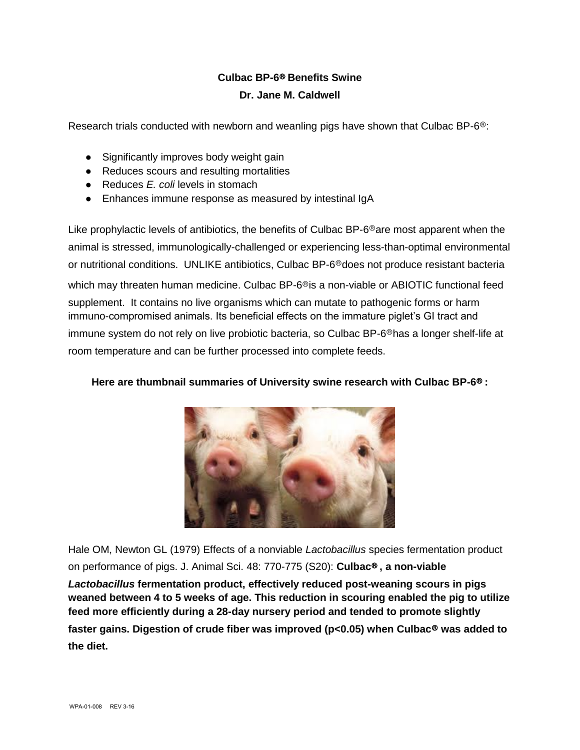## **Culbac BP-6**Ⓡ **Benefits Swine Dr. Jane M. Caldwell**

Research trials conducted with newborn and weanling pigs have shown that Culbac BP-6<sup>®</sup>:

- Significantly improves body weight gain
- Reduces scours and resulting mortalities
- Reduces *F. coli* levels in stomach
- Enhances immune response as measured by intestinal IgA

Like prophylactic levels of antibiotics, the benefits of Culbac BP- $6^{\circ}$ are most apparent when the animal is stressed, immunologically-challenged or experiencing less-than-optimal environmental or nutritional conditions. UNLIKE antibiotics, Culbac BP-6<sup>®</sup>does not produce resistant bacteria

which may threaten human medicine. Culbac BP-6<sup>®</sup>is a non-viable or ABIOTIC functional feed supplement. It contains no live organisms which can mutate to pathogenic forms or harm immuno-compromised animals. Its beneficial effects on the immature piglet's GI tract and immune system do not rely on live probiotic bacteria, so Culbac BP-6<sup>®</sup>has a longer shelf-life at room temperature and can be further processed into complete feeds.

## **Here are thumbnail summaries of University swine research with Culbac BP-6<sup>®</sup> :**



Hale OM, Newton GL (1979) Effects of a nonviable *Lactobacillus* species fermentation product on performance of pigs. J. Animal Sci. 48: 770-775 (S20): **Culbac**Ⓡ **, a non-viable**  *Lactobacillus* **fermentation product, effectively reduced post-weaning scours in pigs weaned between 4 to 5 weeks of age. This reduction in scouring enabled the pig to utilize feed more efficiently during a 28-day nursery period and tended to promote slightly**  faster gains. Digestion of crude fiber was improved (p<0.05) when Culbac<sup>®</sup> was added to **the diet.**